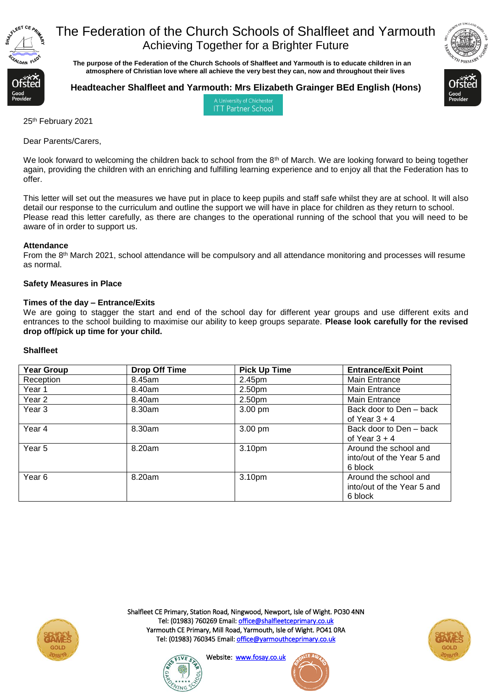

 **The purpose of the Federation of the Church Schools of Shalfleet and Yarmouth is to educate children in an atmosphere of Christian love where all achieve the very best they can, now and throughout their lives** 



**ITT Partner School** 



25th February 2021

Dear Parents/Carers,

We look forward to welcoming the children back to school from the 8<sup>th</sup> of March. We are looking forward to being together again, providing the children with an enriching and fulfilling learning experience and to enjoy all that the Federation has to offer.

This letter will set out the measures we have put in place to keep pupils and staff safe whilst they are at school. It will also detail our response to the curriculum and outline the support we will have in place for children as they return to school. Please read this letter carefully, as there are changes to the operational running of the school that you will need to be aware of in order to support us.

### **Attendance**

From the 8th March 2021, school attendance will be compulsory and all attendance monitoring and processes will resume as normal.

## **Safety Measures in Place**

### **Times of the day – Entrance/Exits**

We are going to stagger the start and end of the school day for different year groups and use different exits and entrances to the school building to maximise our ability to keep groups separate. **Please look carefully for the revised drop off/pick up time for your child.**

### **Shalfleet**

| <b>Year Group</b> | <b>Drop Off Time</b> | <b>Pick Up Time</b> | <b>Entrance/Exit Point</b>                                     |
|-------------------|----------------------|---------------------|----------------------------------------------------------------|
| Reception         | 8.45am               | 2.45pm              | <b>Main Entrance</b>                                           |
| Year 1            | 8.40am               | 2.50pm              | <b>Main Entrance</b>                                           |
| Year 2            | 8.40am               | 2.50pm              | Main Entrance                                                  |
| Year 3            | 8.30am               | 3.00 pm             | Back door to Den – back<br>of Year $3 + 4$                     |
| Year 4            | 8.30am               | 3.00 pm             | Back door to Den – back<br>of Year $3 + 4$                     |
| Year <sub>5</sub> | 8.20am               | 3.10pm              | Around the school and<br>into/out of the Year 5 and<br>6 block |
| Year <sub>6</sub> | 8.20am               | 3.10pm              | Around the school and<br>into/out of the Year 5 and<br>6 block |



Shalfleet CE Primary, Station Road, Ningwood, Newport, Isle of Wight. PO30 4NN Tel: (01983) 760269 Email[: office@shalfleetceprimary.co.uk](mailto:office@shalfleetceprimary.co.uk)  Yarmouth CE Primary, Mill Road, Yarmouth, Isle of Wight. PO41 0RA Tel: (01983) 760345 Email: office@yarmouthceprimary.co.uk





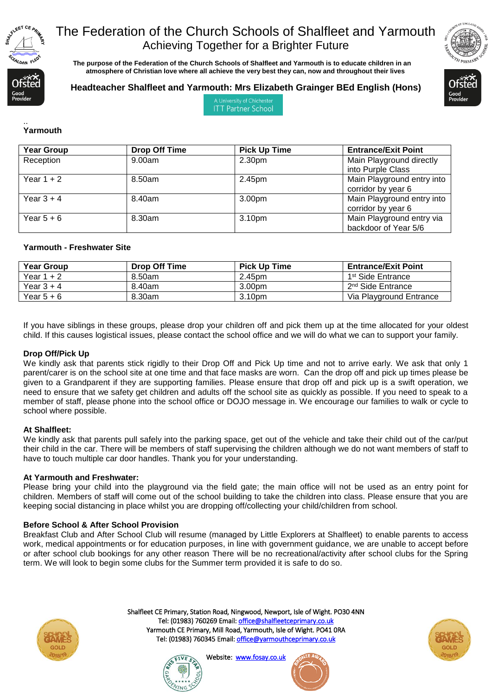

 **The purpose of the Federation of the Church Schools of Shalfleet and Yarmouth is to educate children in an atmosphere of Christian love where all achieve the very best they can, now and throughout their lives** 



## **Headteacher Shalfleet and Yarmouth: Mrs Elizabeth Grainger BEd English (Hons)**



A University of Chicheste **ITT Partner School** 

#### .. **Yarmouth**

| <b>Year Group</b> | <b>Drop Off Time</b> | <b>Pick Up Time</b> | <b>Entrance/Exit Point</b>                        |
|-------------------|----------------------|---------------------|---------------------------------------------------|
| Reception         | 9.00am               | 2.30pm              | Main Playground directly<br>into Purple Class     |
| Year $1 + 2$      | 8.50am               | 2.45pm              | Main Playground entry into<br>corridor by year 6  |
| Year $3 + 4$      | 8.40am               | 3.00pm              | Main Playground entry into<br>corridor by year 6  |
| Year $5+6$        | 8.30am               | 3.10pm              | Main Playground entry via<br>backdoor of Year 5/6 |

## **Yarmouth - Freshwater Site**

| Year Group | <b>Drop Off Time</b> | <b>Pick Up Time</b> | <b>Entrance/Exit Point</b>    |
|------------|----------------------|---------------------|-------------------------------|
| Year 1 + 2 | 8.50am               | 2.45pm              | 1 <sup>st</sup> Side Entrance |
| Year 3 + 4 | 8.40am               | 3.00pm              | 2 <sup>nd</sup> Side Entrance |
| Year 5 + 6 | 8.30am               | 3.10pm              | Via Playground Entrance       |

If you have siblings in these groups, please drop your children off and pick them up at the time allocated for your oldest child. If this causes logistical issues, please contact the school office and we will do what we can to support your family.

### **Drop Off/Pick Up**

We kindly ask that parents stick rigidly to their Drop Off and Pick Up time and not to arrive early. We ask that only 1 parent/carer is on the school site at one time and that face masks are worn. Can the drop off and pick up times please be given to a Grandparent if they are supporting families. Please ensure that drop off and pick up is a swift operation, we need to ensure that we safety get children and adults off the school site as quickly as possible. If you need to speak to a member of staff, please phone into the school office or DOJO message in. We encourage our families to walk or cycle to school where possible.

### **At Shalfleet:**

We kindly ask that parents pull safely into the parking space, get out of the vehicle and take their child out of the car/put their child in the car. There will be members of staff supervising the children although we do not want members of staff to have to touch multiple car door handles. Thank you for your understanding.

### **At Yarmouth and Freshwater:**

Please bring your child into the playground via the field gate; the main office will not be used as an entry point for children. Members of staff will come out of the school building to take the children into class. Please ensure that you are keeping social distancing in place whilst you are dropping off/collecting your child/children from school.

### **Before School & After School Provision**

Breakfast Club and After School Club will resume (managed by Little Explorers at Shalfleet) to enable parents to access work, medical appointments or for education purposes, in line with government guidance, we are unable to accept before or after school club bookings for any other reason There will be no recreational/activity after school clubs for the Spring term. We will look to begin some clubs for the Summer term provided it is safe to do so.



Shalfleet CE Primary, Station Road, Ningwood, Newport, Isle of Wight. PO30 4NN Tel: (01983) 760269 Email[: office@shalfleetceprimary.co.uk](mailto:office@shalfleetceprimary.co.uk)  Yarmouth CE Primary, Mill Road, Yarmouth, Isle of Wight. PO41 0RA Tel: (01983) 760345 Email[: office@yarmouthceprimary.co.uk](mailto:office@yarmouthceprimary.co.uk) 





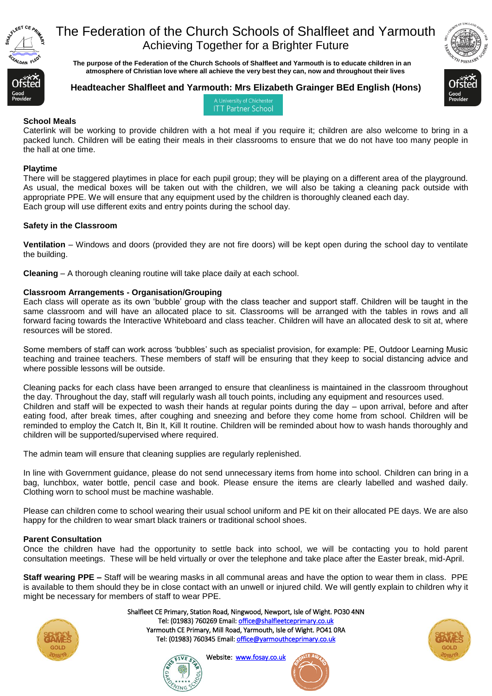

 **The purpose of the Federation of the Church Schools of Shalfleet and Yarmouth is to educate children in an atmosphere of Christian love where all achieve the very best they can, now and throughout their lives** 



## **Headteacher Shalfleet and Yarmouth: Mrs Elizabeth Grainger BEd English (Hons)**



A University of Chicheste **ITT Partner School** 

## **School Meals**

Caterlink will be working to provide children with a hot meal if you require it; children are also welcome to bring in a packed lunch. Children will be eating their meals in their classrooms to ensure that we do not have too many people in the hall at one time.

## **Playtime**

There will be staggered playtimes in place for each pupil group; they will be playing on a different area of the playground. As usual, the medical boxes will be taken out with the children, we will also be taking a cleaning pack outside with appropriate PPE. We will ensure that any equipment used by the children is thoroughly cleaned each day. Each group will use different exits and entry points during the school day.

## **Safety in the Classroom**

**Ventilation** – Windows and doors (provided they are not fire doors) will be kept open during the school day to ventilate the building.

**Cleaning** – A thorough cleaning routine will take place daily at each school.

## **Classroom Arrangements - Organisation/Grouping**

Each class will operate as its own 'bubble' group with the class teacher and support staff. Children will be taught in the same classroom and will have an allocated place to sit. Classrooms will be arranged with the tables in rows and all forward facing towards the Interactive Whiteboard and class teacher. Children will have an allocated desk to sit at, where resources will be stored.

Some members of staff can work across 'bubbles' such as specialist provision, for example: PE, Outdoor Learning Music teaching and trainee teachers. These members of staff will be ensuring that they keep to social distancing advice and where possible lessons will be outside.

Cleaning packs for each class have been arranged to ensure that cleanliness is maintained in the classroom throughout the day. Throughout the day, staff will regularly wash all touch points, including any equipment and resources used. Children and staff will be expected to wash their hands at regular points during the day – upon arrival, before and after eating food, after break times, after coughing and sneezing and before they come home from school. Children will be reminded to employ the Catch It, Bin It, Kill It routine. Children will be reminded about how to wash hands thoroughly and children will be supported/supervised where required.

The admin team will ensure that cleaning supplies are regularly replenished.

In line with Government guidance, please do not send unnecessary items from home into school. Children can bring in a bag, lunchbox, water bottle, pencil case and book. Please ensure the items are clearly labelled and washed daily. Clothing worn to school must be machine washable.

Please can children come to school wearing their usual school uniform and PE kit on their allocated PE days. We are also happy for the children to wear smart black trainers or traditional school shoes.

## **Parent Consultation**

Once the children have had the opportunity to settle back into school, we will be contacting you to hold parent consultation meetings. These will be held virtually or over the telephone and take place after the Easter break, mid-April.

**Staff wearing PPE –** Staff will be wearing masks in all communal areas and have the option to wear them in class. PPE is available to them should they be in close contact with an unwell or injured child. We will gently explain to children why it might be necessary for members of staff to wear PPE.



Shalfleet CE Primary, Station Road, Ningwood, Newport, Isle of Wight. PO30 4NN Tel: (01983) 760269 Email[: office@shalfleetceprimary.co.uk](mailto:office@shalfleetceprimary.co.uk)  Yarmouth CE Primary, Mill Road, Yarmouth, Isle of Wight. PO41 0RA Tel: (01983) 760345 Email[: office@yarmouthceprimary.co.uk](mailto:office@yarmouthceprimary.co.uk) 



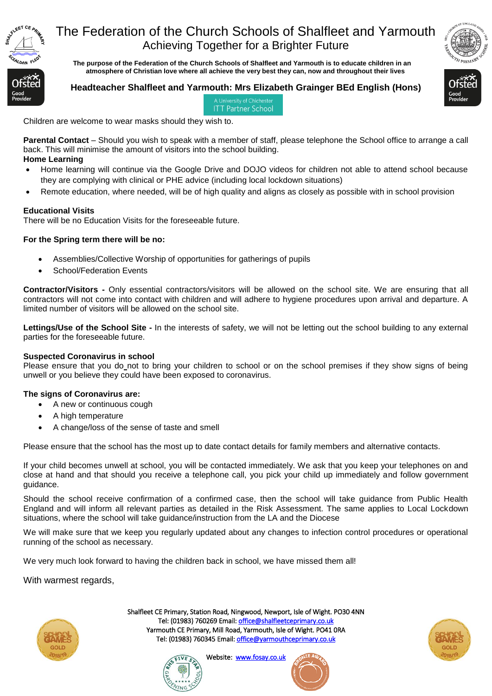

 **The purpose of the Federation of the Church Schools of Shalfleet and Yarmouth is to educate children in an atmosphere of Christian love where all achieve the very best they can, now and throughout their lives** 



### **Headteacher Shalfleet and Yarmouth: Mrs Elizabeth Grainger BEd English (Hons)** A University of Chicheste

**ITT Partner School** 



Children are welcome to wear masks should they wish to.

**Parental Contact** – Should you wish to speak with a member of staff, please telephone the School office to arrange a call back. This will minimise the amount of visitors into the school building. **Home Learning**

- Home learning will continue via the Google Drive and DOJO videos for children not able to attend school because they are complying with clinical or PHE advice (including local lockdown situations)
- Remote education, where needed, will be of high quality and aligns as closely as possible with in school provision

## **Educational Visits**

There will be no Education Visits for the foreseeable future.

## **For the Spring term there will be no:**

- Assemblies/Collective Worship of opportunities for gatherings of pupils
- School/Federation Events

**Contractor/Visitors -** Only essential contractors/visitors will be allowed on the school site. We are ensuring that all contractors will not come into contact with children and will adhere to hygiene procedures upon arrival and departure. A limited number of visitors will be allowed on the school site.

**Lettings/Use of the School Site -** In the interests of safety, we will not be letting out the school building to any external parties for the foreseeable future.

### **Suspected Coronavirus in school**

Please ensure that you do\_not to bring your children to school or on the school premises if they show signs of being unwell or you believe they could have been exposed to coronavirus.

### **The signs of Coronavirus are:**

- A new or continuous cough
- A high temperature
- A change/loss of the sense of taste and smell

Please ensure that the school has the most up to date contact details for family members and alternative contacts.

If your child becomes unwell at school, you will be contacted immediately. We ask that you keep your telephones on and close at hand and that should you receive a telephone call, you pick your child up immediately and follow government guidance.

Should the school receive confirmation of a confirmed case, then the school will take guidance from Public Health England and will inform all relevant parties as detailed in the Risk Assessment. The same applies to Local Lockdown situations, where the school will take guidance/instruction from the LA and the Diocese

We will make sure that we keep you regularly updated about any changes to infection control procedures or operational running of the school as necessary.

We very much look forward to having the children back in school, we have missed them all!

With warmest regards,



Shalfleet CE Primary, Station Road, Ningwood, Newport, Isle of Wight. PO30 4NN Tel: (01983) 760269 Email[: office@shalfleetceprimary.co.uk](mailto:office@shalfleetceprimary.co.uk)  Yarmouth CE Primary, Mill Road, Yarmouth, Isle of Wight. PO41 0RA Tel: (01983) 760345 Email: office@yarmouthceprimary.co.uk